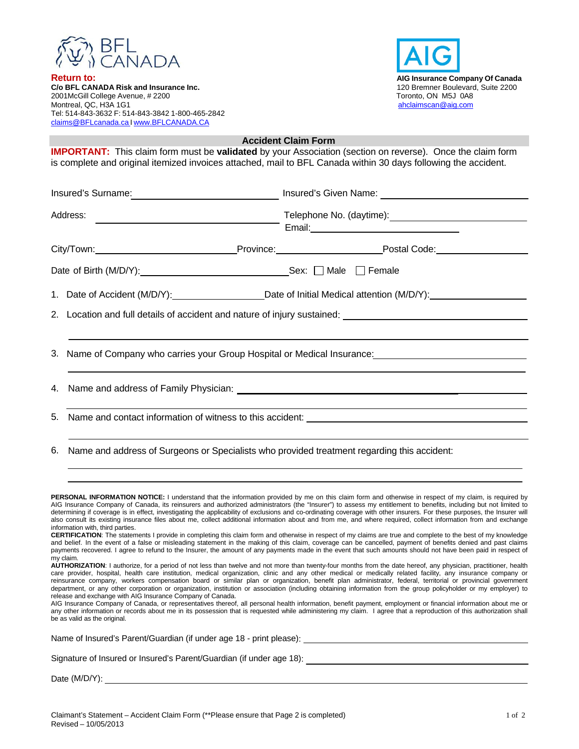

**Return to: Return to: Return to: AIG Insurance Company Of Canada**<br> **C/o BFL CANADA Risk and Insurance Inc. AIG INSURGE ACT AT A SET A** 120 Bremner Boulevard, Suite 2200 **C/o BFL CANADA Risk and Insurance Inc.** 2001McGill College Avenue, # 2200 Toronto, ON M5J 0A8 Montreal, QC, H3A 1G1 and the state of the state of the state of the state of the state of the state of the state of the state of the state of the state of the state of the state of the state of the state of the state of t Tel: 514-843-3632 F: 514-843-3842 1-800-465-2842 claims@BFLcanada.ca I www.BFLCANADA.CA



 **Accident Claim Form** 

**IMPORTANT:** This claim form must be **validated** by your Association (section on reverse). Once the claim form is complete and original itemized invoices attached, mail to BFL Canada within 30 days following the accident. Insured's Surname: <u>Insured's Given Name: Insured's Given Name:</u> Address: Telephone No. (daytime): Email: City/Town: Province: Postal Code: Date of Birth (M/D/Y): Sex:  $\Box$  Male  $\Box$  Female 1. Date of Accident (M/D/Y): Date of Initial Medical attention (M/D/Y): 2. Location and full details of accident and nature of injury sustained: 3. Name of Company who carries your Group Hospital or Medical Insurance: 4. Name and address of Family Physician: \_ 5. Name and contact information of witness to this accident: 6. Name and address of Surgeons or Specialists who provided treatment regarding this accident: **PERSONAL INFORMATION NOTICE:** I understand that the information provided by me on this claim form and otherwise in respect of my claim, is required by AIG Insurance Company of Canada, its reinsurers and authorized administrators (the "Insurer") to assess my entitlement to benefits, including but not limited to determining if coverage is in effect, investigating the applicability of exclusions and co-ordinating coverage with other insurers. For these purposes, the Insurer will also consult its existing insurance files about me, collect additional information about and from me, and where required, collect information from and exchange information with, third parties. **CERTIFICATION**: The statements I provide in completing this claim form and otherwise in respect of my claims are true and complete to the best of my knowledge and belief. In the event of a false or misleading statement in the making of this claim, coverage can be cancelled, payment of benefits denied and past claims payments recovered. I agree to refund to the Insurer, the amount of any payments made in the event that such amounts should not have been paid in respect of my claim. **AUTHORIZATION**: I authorize, for a period of not less than twelve and not more than twenty-four months from the date hereof, any physician, practitioner, health care provider, hospital, health care institution, medical organization, clinic and any other medical or medically related facility, any insurance company or reinsurance company, workers compensation board or similar plan or organization, benefit plan administrator, federal, territorial or provincial government department, or any other corporation or organization, institution or association (including obtaining information from the group policyholder or my employer) to

release and exchange with AIG Insurance Company of Canada. AIG Insurance Company of Canada, or representatives thereof, all personal health information, benefit payment, employment or financial information about me or any other information or records about me in its possession that is requested while administering my claim. I agree that a reproduction of this authorization shall be as valid as the original.

Name of Insured's Parent/Guardian (if under age 18 - print please): Signature of Insured or Insured's Parent/Guardian (if under age 18): Signature of Insured or Insured's Parent/Guardian (if under age 18): Date (M/D/Y):